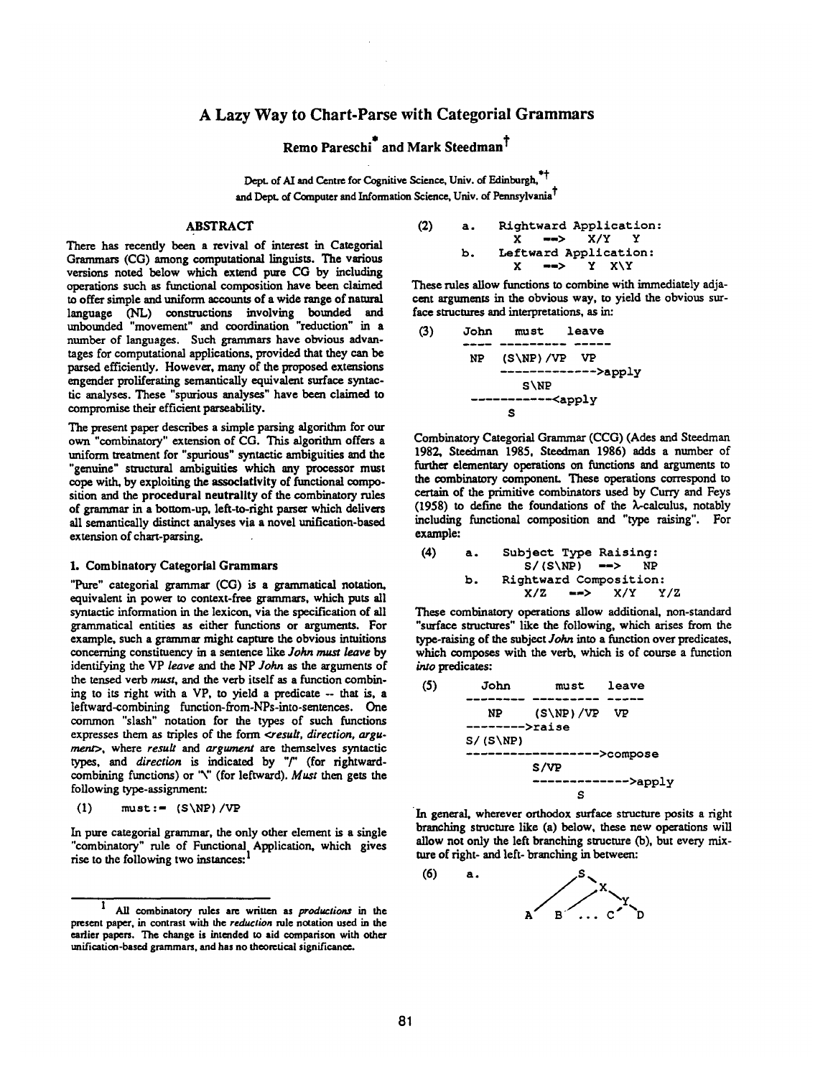# **A** Lazy Way to Chart-Parse with Categorial Grammars

# Remo Pareschi<sup>"</sup> and Mark Steedman<sup>T</sup>

Dept. of AI and Centre for Cognitive Science, Univ. of Edinburgh,<sup>\*\*</sup> and Dept. of Computer and Information Science, Univ. of Pennsylvania<sup>†</sup>

# ABSTRACT

There has recendy been a revival of interest in Categorial Grammars (CG) among computational linguists. The various versions noted below which extend pure CG by including operations such as functional composition have been claimed to offer simple and uniform accounts of a wide range of natural language (NL) constructions involving bounded and unbounded "movement" and coordination "reduction" in a number of languages. Such grammars have obvious advantages for computational applications, provided that they can be parsed efficiently. However, many of the proposed extensions engender proliferating semantically equivalent surface syntactic analyses. These "spurious analyses" have been claimed to compromise their efficient parseability.

The present paper describes a simple parsing algorithm for our own "combinatory" extension of CG. This algorithm offers a uniform treatment for "spurious" syntactic ambiguities and the "genuine" structural ambiguities which any processor must cope with, by exploiting the associativity of functional composition and the procedural neutrality of the combinatory rules of grammar in a bottom-up, left-to-fight parser which delivers all semantically distinct analyses via a novel unification-based extension of chart-parsing.

#### **1.** Combinatory Categorial Grammars

"Pure" categorial grammar (CG) is a grammatical notation, equivalent in power to context-free grammars, which puts all syntactic information in the lexicon, via the specification of all grammatical entities as either functions or arguments. For example, such a grammar might capture the obvious intuitions concerning constituency in a sentence like *John must leave* by identifying the VP *leave* and the NP John as the arguments of the tensed verb must, and the verb itself as a function combining to its right with a VP, to yield a predicate -- that is, a leftward-combining function-from-NPs-into-sentences. One common "slash" notation for the types of such functions expresses them as triples of the form *<result, direction, argu*ment>, where *result* and argument are themselves syntactic *types, and direction is* indicated by "/" (for rightwardcombining functions) or "\" (for leftward). *Must* then gets the following type-assignment:

(1) 
$$
must := (S\NP)/VP
$$

In pure categorial grammar, the only other element is a single "combinatory" rule of Functional Application. which gives rise to the following two instances:<sup>1</sup>

(2) a. Rightward Application:

\n
$$
X \implies X/Y
$$
 Y

\nb. Leftward Application:

\n $X \implies Y \times Y$ 

These rules allow functions to combine with immediately adjacent arguments in the obvious way, to yield the obvious surface structures and interpretations, as in:

~) John must leave **NP** (S\NP)/VP VP ............. >apply **S\NP**  <apply **S** 

Combinatory Categorial Grammar (CCG) (Ades and Steedman 1982, Steedman 1985, Steedman 1986) adds a number of further elementary operations on functions and arguments to the combinatory component. These operations correspond to certain of the primitive combinators used by Curry and Feys  $(1958)$  to define the foundations of the  $\lambda$ -calculus, notably including functional composition and "type raising". For example:

(4) a. Subject Type Raising: S/(S\NP) B> NP b. Rightward Composition: X/Z --> X/Y Y/Z

These combinatory operations allow additional, non-standard "surface structures" like the following, which arises from the type-raising of the subject *John* into a function over predicates, which composes with the verb, which is of course a function into predicates:

(5) John must leave NP (S\NP)/VP VP >raise **S/(S\NP)**  .................. >compose S/VP >apply **S** 

In general, wherever orthodox surface structure posits a right branching structure like (a) below, these new operations will allow not only the left branching structure (b), but every mixture of right- and left- branching in between:



<sup>1</sup> All combinatory roles are written as *productions in the*  present paper, in contrast with the *reduction* rule notation used in the earlier papers. The change is intended to aid comparison with other unification-based grammars, and has no theoretical significance.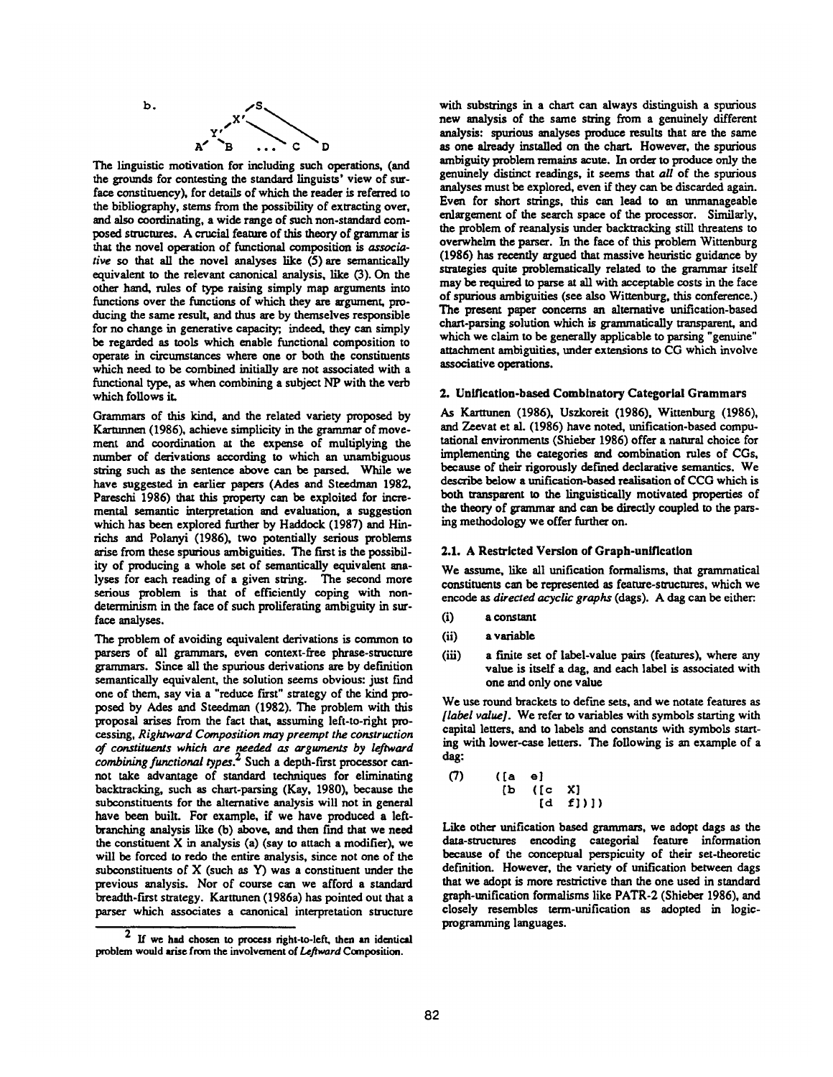

The linguistic motivation for including such operations, (and the grounds for contesting the standard linguists' view of surface constituency), for details of which the reader is referred to the bibliography, sterns from the possibility of extracting over, and also coordinating, a wide range of such non-standard composed structures. A crucial feature of this theory of grammar is that the novel operation of functional composition is associative so that all the novel analyses like (5) are semantically equivalent to the relevant canonical analysis, like (3). On the other hand, roles of type raising simply map arguments into functions over the functions of which they are argument, producing the same result, and thus are by themselves responsible for no change in generative capacity; indeed, they can simply be regarded as tools which enable functional composition to operate in circumstances where one or both the constituents which need to be combined initially are not associated with a functional type, as when combining a subject NP with the verb which follows it.

Grammars of this kind, and the related variety proposed by Kartunnen (1986), achieve simplicity in the grammar of movement and coordination at the expense of multiplying the number of derivations according to which an unambiguous string such as the sentence above can be parsed. While we have suggested in earlier papers (Ades and Steedman 1982, Pareschi 1986) that this property can be exploited for incremental semantic interpretation and evaluation, a suggestion which has been explored further by Haddock (1987) and Hinrichs and Polanyi (1986), two potentially serious problems arise from these spurious ambiguities. The first is the possibility of producing a whole set of semantically equivalent analyses for each reading of a given siring. The second more serious problem is that of efficiently coping with nondeterminism in the face of such proliferating ambiguity in surface analyses.

The problem of avoiding equivalent derivations is common to parsers of all grammars, even context-free phrase-structure grammars. Since all the spurious derivations are by definition semantically equivalent, the solution seems obvious: just find one of them, say via a "reduce first" strategy of the kind proposed by Ades and Steedman (1982). The problem with this proposal arises from the fact that, assuming left-to-right processing, *Rightward Composition may preempt the construction of constituents which are needed as arguments by leftward combining functional types. 2* Such a depth-fast processor cannot take advantage of standard techniques for eliminating backtracking, such as chart-parsing (Kay, 1980), because the subconstituents for the alternative analysis will not in general have been built. For example, if we have produced a leftbranching analysis like (b) above, and then find that we need the constituent  $X$  in analysis (a) (say to attach a modifier), we will be forced to redo the entire analysis, since not one of the subconstituents of  $X$  (such as  $Y$ ) was a constituent under the previous analysis. Nor of course can we afford a standard breadth-first strategy. Karttunen (1986a) has pointed out that a parser which associates a canonical interpretation structure

with substrings in a chart can always distinguish a spurious new analysis of the same string from a genuinely different analysis: spurious analyses produce results that are the same as one already installed on the chart. However, the spurious ambiguity problem remains acute. In order to produce only the genuinely distinct readings, it seems that *all* of the spurious analyses must be explored, even if they can be discarded gain. Even for short strings, this can lead to an unmanageable enlargement of the search space of the processor. Similarly, the problem of reanalysis under backtracking still threatens to overwhelm the parser. In the face of this problem Wittenburg (1986) has recently argued that massive heuristic guidance by strategies quite problematically related to the grammar itself may be required to parse at all with acceptable costs in the face of spurious ambiguities (see also Wittenburg, this conference.) The present paper concerns an alternative unification-based chart-parsing solution which is grammatically transparent, and which we claim to be generally applicable to parsing "genuine" attachment ambiguities, under extensions to CG which involve associative operations.

#### **2. Unification-based** Comblnatory Categorlal Grammars

As Karttunen (1986), Uszkoreit (1986), Wittenburg (1986), and Zeevat et al. (1986) have noted, unification-based computational enviroments (Shieber 1986) offer a natural choice for implementing the categories and combination roles of CGs, because of their rigorously defined declarative semantics. We describe below a unification-besed realisation of CCG which is both transparent to the linguistically motivated properties of the theory of grammar and can be directly coupled to the parsing methodology we offer further on.

# **2.1. A** Restricted Version **of Graph-unification**

We assume, like all unification formalisms, that grammatical constituents can be represented as feature-structures, which we encode as *directed acyclic graphs* (dags). A dag can be either:.

- (i) a constant
- (ii) a variable
- (iii) a finite set of label-value pairs (features), where any value is itself a dag, and each label is associated with one and only one value

We use round brackets to define sets, and we notate features as *[label value].* We refer to variables with symbols starting with capital letters, and to labels and constants with symbols starting with lower-case letters. The following is an example of a dag:

(7) ( [a e] [b ([c x] [d f])])

Like other unification based grammars, we adopt degs as the data-structures encoding categorial feature information because of the conceptual perspicuity of their set-theoretic definition. However, the variety of unification between dags that we adopt is more restrictive than the one used in standard graph-unification formalisms like PATR-2 (Shieber 1986), and closely resembles term-unification as adopted in logicprogramming languages.

 $2$  If we had chosen to process right-to-left, then an identical problem would arise from the involvement of *Leftward* Composition.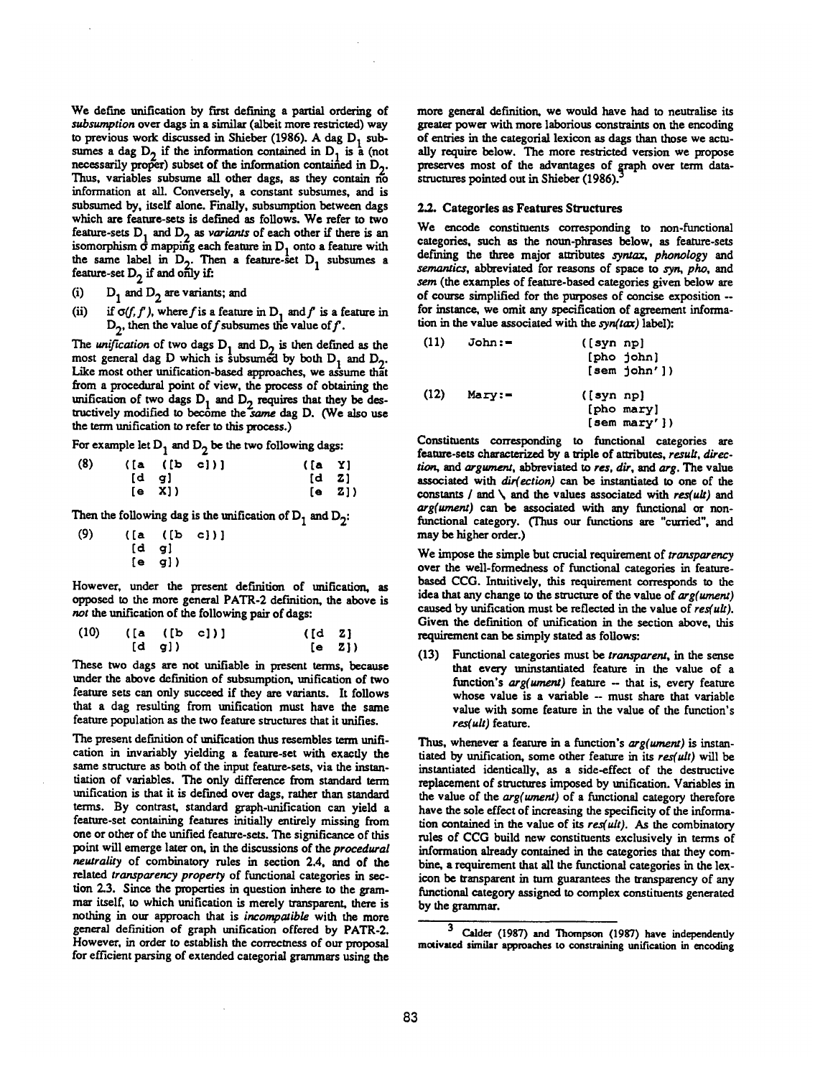We define unification by first defining a partial ordering of subsumption over dags in a similar (albeit more restricted) way to previous work discussed in Shieber (1986). A dag  $D_1$  subsumes a dag  $D_2$  if the information contained in  $D_1$  is a (not necessarily proper) subset of the information contained in  $D_2$ . Thus, variables subsume all other dags, as they contain no information at all. Conversely, a constant subsumes, and is subsumed by, itself alone. Finally, subsumption between dags which are feature-sets is defined as follows. We refer to two feature-sets  $D_1$  and  $D_2$  as *variants* of each other if there is an isomorphism  $\dot{\sigma}$  mapping each feature in  $D_1$  onto a feature with the same label in  $D_2$ . Then a feature-set  $D_1$  subsumes a feature-set  $D_2$  if and only if:

- (i)  $D_1$  and  $D_2$  are variants; and
- (ii) if  $\sigma(f, f')$ , where f is a feature in D<sub>1</sub> and f is a feature in  $D_{\gamma}$ , then the value of f subsumes the value of f.

The *unification* of two dags  $D_1$  and  $D_2$  is then defined as the most general dag D which is subsumed by both  $D_1$  and  $D_2$ . Like most other unification-based approaches, we assume that from a procedural point of view, the process of obtaining the unification of two dags  $D_1$  and  $D_2$  requires that they be destructively modified to become the same dag D. (We also use the term unification to refer to this process.)

For example let  $D_1$  and  $D_2$  be the two following dags:

| (8) |           | ([a (b c)]) | ([a Y]                                |                   |
|-----|-----------|-------------|---------------------------------------|-------------------|
|     | $[d \ q]$ |             | $\begin{bmatrix} d & Z \end{bmatrix}$ |                   |
|     | [e X]     |             |                                       | (e <sub>2</sub> ) |

Then the following dag is the unification of  $D_1$  and  $D_2$ :

| (9) |      | $([a \t(b$ | $c)$ )] |
|-----|------|------------|---------|
|     | [d   | gl         |         |
|     | Te l | g})        |         |

However, under the present definition of unification, as opposed to the more general PATR-2 definition, the above is not the unification of the following pair of dags:

| $(10)$ $([a (b c)])$ |           | $\begin{bmatrix} d & z \end{bmatrix}$ |        |
|----------------------|-----------|---------------------------------------|--------|
|                      | $[d \ q]$ |                                       | [e Z]) |

These two dags are not unifiable in present terms, because under the above definition of subsumption, unification of two feature sets can only succeed if they are variants. It follows that a dag resulting from unification must have the same feature population as the two feature structures that it unifies.

The present definition of unification thus resembles term unification in invariably yielding a feature-set with exactly the same structure as both of the input feature-sets, via the instantiation of variables. The only difference from standard term unification is that it is defined over dags, rather than standard terms. By contrast, standard graph-unification can yield a feature-set containing features initially entirely missing from one or other of the unified feature-sets. The significance of this point will emerge later on, in the discussions of the *procedural neutrality* of combinatory rules in section 2.4, and of the related *transparency property* of functional categories in section 2.3. Since the properties in question inhere to the grammar itself, to which unification is merely transparent, there is nothing in our approach that is *incompatible* with the more general definition of graph unification offered by PATR-2. However, in order to establish the correctness of our proposal for efficient parsing of extended categorial grammars using the more general definition, we would have had to neutralise its greater power with more laborious constraints on the encoding of entries in the categorial lexicon as dags than those we actually require below. The more restricted version we propose preserves most of the advantages of graph over term datastructures pointed out in Shieber (1986).<sup>3</sup>

### **2.2.** Categories as Features Structures

We encode constituents corresponding to non-functional categories, such as the noun-phrases below, as feature-sets defining the three major attributes syraax, *phonology and senmntics,* abbreviated for reasons of space to syn, pho, and sem (the examples of feature-based categories given below are of course simplified for the purposes of concise exposition - for instance, we omit any specification of agreement information in the value associated with the *syn(tax)* label):

| (11) | $John :=$ | ([syn np]<br>[pho john]<br>$[sem \nightharpoonup]_0$ hn']) |
|------|-----------|------------------------------------------------------------|
| (12) | $Mary :=$ | ([syn np]<br>[pho mary]<br>[sem may')                      |

Constituents corresponding to functional categories are feature-sets characterized by a triple of attributes, *result*, direction, and argument, abbreviated to *res, dir*, and arg. The value associated with *dir(ection) can be* instantiated to one of the constants / and \ and the values associated with *res(ult) and arg(ument)* can be associated with any functional or nonfunctional category. (Thus our functions are "curried", and may be higher order.)

We impose the simple but crucial requirement of *transparency*  over the well-formedness of functional categories in featurebased CCG. Intuitively, this requirement corresponds to the idea that any change to the structure of the value of *arg(ument)*  caused by unification must be reflected in the value of *res(ult).*  Given the definition of unification in the section above, this requirement can be simply stated as follows:

(13) Functional categories must be transparent, in the sense that every uninstantiated feature in the value of a function's *arg(ument)* feature - that is, every feature whose value is a variable -- must share that variable value with some feature in the value of the function's *res( ult)* feature.

Thus, whenever a feature in a function's *arg(ument)* is instantiated by unification, some other feature in its *res(uh) will be*  instantiated identically, as a side-effect of the destructive replacement of structures imposed by unification. Variables in the value of the *arg(ument)* of a functional category therefore have the sole effect of increasing the specificity of the information contained in the value of its *res(uh). As the* combinatory rules of CCG build new constituents exclusively in terms of information already contained in the categories that they combine, a requirement that all the functional categories in the lexicon be transparent in turn guarantees the transparency of any functional category assigned to complex constituents generated by the grammar.

Calder (1987) and Thompson (1987) have independently motivated similar approaches to constraining unification in encoding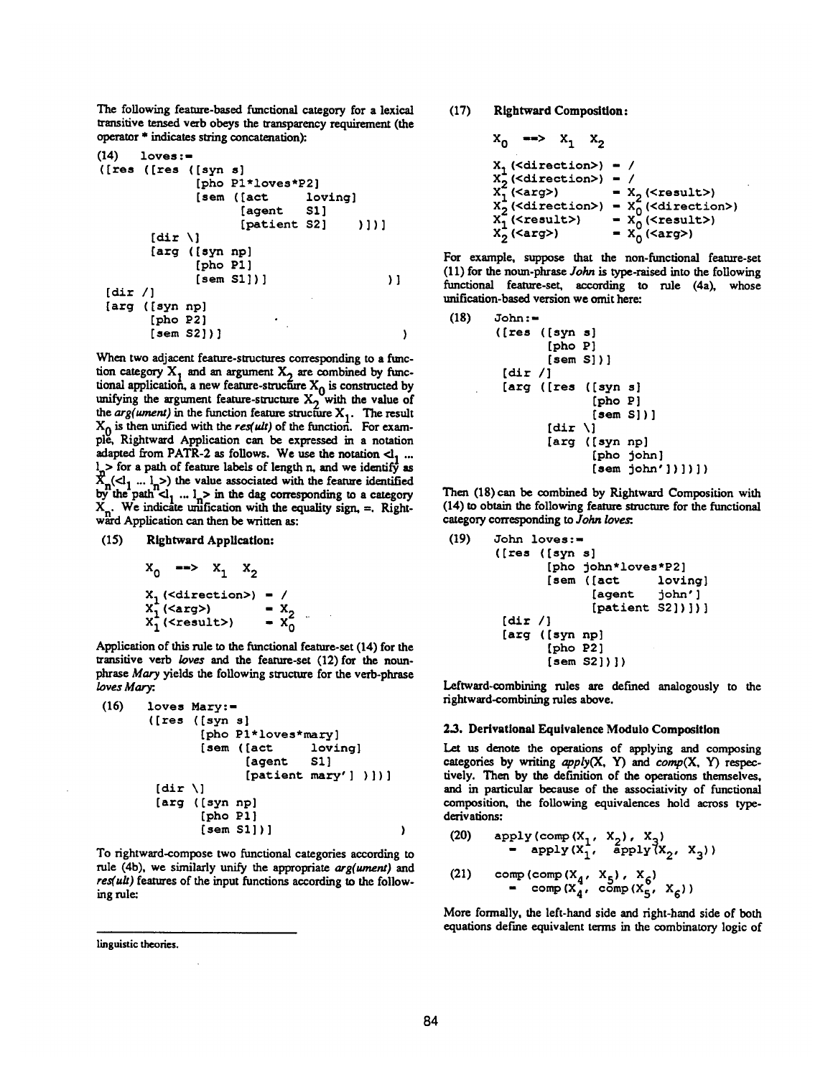The following feature-based functional category for a lexical transitive tensed verb obeys the transparency requirement (the operator \* indicates suing concatenation):

```
(14) loves :- 
([res ([res ([syn s] 
            [pho Pl*loves*P2] 
            [sem ( [act loving] 
                 [agent S1]
                 [patient S2] )][dir \][arg ([syn np] 
            [pho P1 ] 
           [sem SI])] )] 
[dir /] 
[arg ([syn np] 
      [pho P2] 
      [sem $2] ) ] )
```
When two adjacent feature-structures corresponding to a function category  $X_1$  and an argument  $X_2$  are combined by functional application, a new feature-structure  $X_0$  is constructed by unifying the argument feature-structure  $X_2$  with the value of the  $arg(ument)$  in the function feature structure  $X_1$ . The result  $X_0$  is then unified with the *res(ult)* of the function. For example, Rightward Application can be expressed in a notation adapted from PATR-2 as follows. We use the notation  $cl_1$  ...  $l_{\gamma}$  > for a path of feature labels of length n, and we identify as  $X_n(\langle 1_1 ... 1_n \rangle)$  the value associated with the feature identified by the path  $d_1$ ...  $l_n >$  in the dag corresponding to a category  $X_n$ . We indicate unification with the equality sign,  $=$ . Rightward Application can then be written as:

## (15) Rightward Application:

$$
x_0 \longrightarrow x_1 \quad x_2
$$
  
\n
$$
x_1 (\text{circction}) - /
$$
  
\n
$$
x_1^2 (\text{carg}) - x_2
$$
  
\n
$$
x_1^2 (\text{cresult}) - x_0^2
$$

Application of this rule to the functional feature-set (14) for the transitive verb *loves and the* feature-set (12)for the nounphrase Mary yields the following structure for the verb-phrase *loves Mary:* 

```
(16) loves Mary:- 
      ([res ([syn s] 
             [pho Pl*loves*mary] 
             [sem ( [act loving] 
                   [agent S1]
                   [pattern \, Mary' ] ) ][dir \ ][arg ([syn np] 
             [pho PI] 
             [sem Sl] ) ] )
```
To rightward-compose two functional categories according to rule (4b), we similarly unify the appropriate *arg(ument)* and *res(ult)* features of the input functions according to the following rule:

linguistic theories.

(17) Rightward Composition:

$$
x_0 \implies x_1 \quad x_2
$$
\n
$$
x_1 \left(\text{cdirection} \right) = /
$$
\n
$$
x_2 \left(\text{cdirection} \right) = /
$$
\n
$$
x_1 \left(\text{carg} \right) = x_2 \left(\text{cresult} \right)
$$
\n
$$
x_2 \left(\text{direction} \right) = x_0 \left(\text{direction} \right)
$$
\n
$$
x_1 \left(\text{cresult} \right) = x_0 \left(\text{cresult} \right)
$$
\n
$$
x_2 \left(\text{carg} \right) = x_0 \left(\text{creg} \right)
$$

For example, suppose that the non-functional feature-set (II) for the noun-phrase *John is type-raised* into the following functional feature-set, according to rule (4a), whose unification-based version we omit here:

 $(18)$  John:= (Ires ([syn s] [pho P] [sem **S])]**   $[dir /]$ [arg ([res ([syn s] [pho P] [sem S] ) ]  $[dir \]$ [arg ([syn np] [pho john] [sem john']) ]) ])

Then (18) can be combined by Rightward Composition with (14) to obtain the following feature structure for the functional category corresponding to *John loves*:

```
(19) John loves:=
      ([res ([syn s] 
              [pho john*loves*P2] 
              [sem ([act loving] 
                    [agent john'] 
                    [pattern 52])])]
       [dir /] 
       [arg ([syn np] 
              [pho P2 ] 
              [sem S2])])
```
Leftward-combining rules are defined analogously to the rightward-combining rules above.

#### 2.3. Derivational Equivalence Modulo Composition

Let us denote the operations of applying and composing categories by writing *apply(X, Y) and comp(X, Y) respec*tively. Then by the definition of the operations themselves, and in particular because of the associativity of functional composition, the following equivalences hold across typederivations:

(20) apply (comp (X 1, X2), X3) apply (X I, apply~X 2, X 3) ) (21) comp(comp(X4, X5) , X6) - comp(X4, comp(X 5, X6))

More formally, the left-hand side and right-hand side of both equations define equivalent terms in the combinatory logic of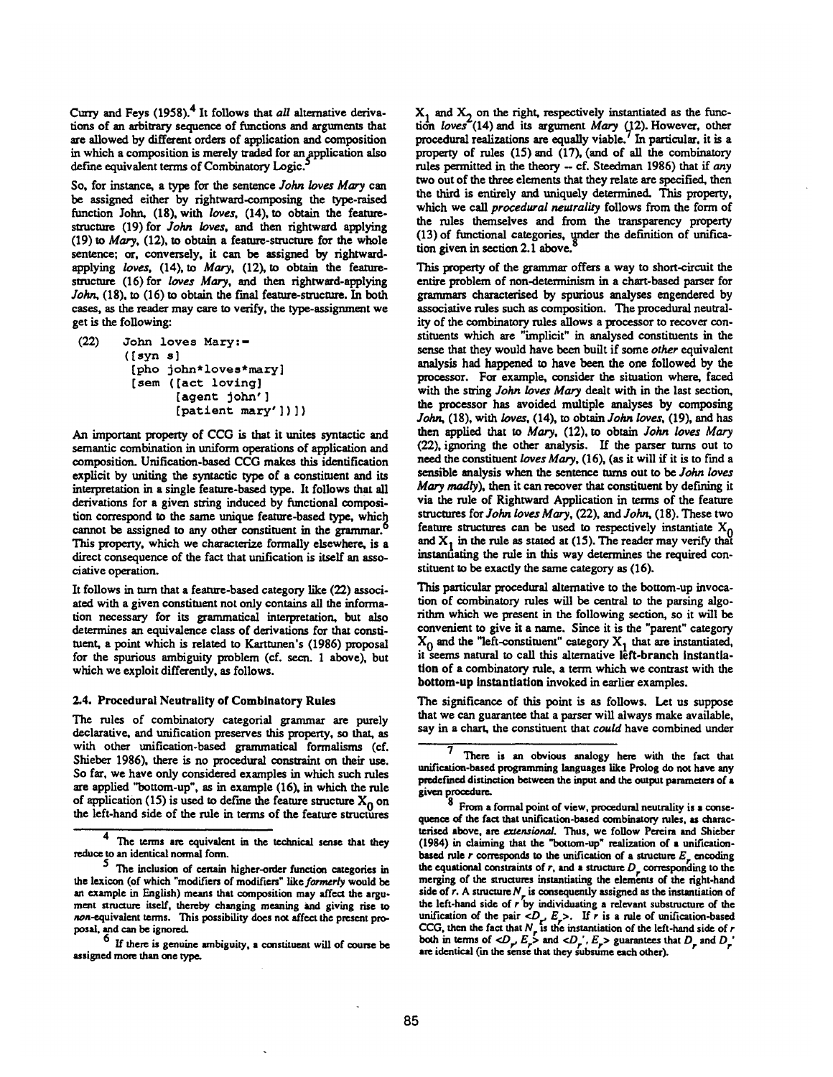Curry and Feys (1958). 4 It follows that *all* alternative derivations of an arbitrary sequence of functions and arguments that are allowed by different orders of application and composition in which a composition is merely traded for an application also define equivalent terms of Combinatory Logic.

So. for instance, a type for the sentence *John loves Mary can*  be assigned either by rightward-composing the type-raised function John, (18), with *loves.* (14), to obtain the featurestructure (19) for *John loves*, and then rightward applying (19) to Mary, (12). to obtain a feature-structure for the whole sentence; or. conversely, it can be assigned by rightwardapplying *loves.* (14), to Mary, (12), to obtain the featurestructure (16) for *loves Mary*, and then rightward-applying John. (18). to (16) to obtain the final feature-structure. In both cases, as the reader may care to verify, the type-assignment we get is the following:

```
(22) John loves Mary:- 
      ([syn s] 
       [pho john*loves*mary] 
       [sem ([act loving] 
              [agent john' ] 
              [patternt may'] ])
```
An important property of CCO is that it unites syntactic and semantic combination in uniform operations of application and composition. Unification-based CCG makes this identification explicit by uniting the syntactic type of a constituent and its interpretation in a single feature-based type. It follows that all derivations for a given string induced by functional composition correspond to the same unique feature-based type, which cannot be assigned to any other constituent in the grammar. This property, which we characterize formally elsewhere, is a direct consequence of the fact that unification is itself an associative operation.

It follows in turn that a feature-based category like (22) associated with a given constituent not only contains all the information necessary for its grammatical interpretation, but also determines an equivalence class of derivations for that constituent, a point which is related to Karttunen's (1986) proposal for the spurious ambiguity problem (cf. secn. 1 above), but which we exploit differently, as follows.

#### 2.4. Procedural Neutrality of Combinatory Rules

The rules of combinatory eategorial grammar are purely declarative, and unification preserves this property, so that, as with other unification-based grammatical formalisms (cf. Shieber 1986). there is no procedural constraint on their use. So far. we have only considered examples in which such rules are applied "bottom-up", as in example (16). in which the rule of application (15) is used to define the feature structure  $X_0$  on the left-hand side of the rule in terms of the feature structures

 $X_1$  and  $X_2$  on the right, respectively instantiated as the function *loves* (14) and its argument *Mary* (12). However, other procedural realizations are equally viable.' In particular, it is a property of rules  $(15)$  and  $(17)$ , (and of all the combinatory rules permitted in the theory -- of. Steedman 1986) that if any two out of the three elements that they relate are specified, then the third is entirely and uniquely determined. This property, which we call *procedural neutrality* follows from the form of the rules themselves and from the transparency property  $(13)$  of functional categories, under the definition of unification given in section 2.1 above.

This property of the grammar offers a way to short-circuit the entire problem of non-determinism in a chart-based parser for grammars characterised by spurious analyses engendered by associative rules such as composition. The procedural neutrality of the combinatory rules allows a processor to recover constituents which are "implicit" in analysed constituents in the sense that they would have been built if some *other* equivalent analysis had happened to have been the one followed by the processor. For example, consider the situation where, faced with the string *John loves Mary* dealt with in the last section, the processor has avoided multiple analyses by composing John, (18), with loves, (14), to *obtain John loves,* (19), and has then applied that to Mary, (12), to obtain *John loves Mary*  (22), ignoring the other analysis. If the parser turns out to need the constituent *loves Mary*, (16), (as it will if it is to find a sensible analysis when the sentence turns out to be *John loves*  Mary madly), then it can recover that constituent by defining it via the rule of Rightward Application in terms of the feature structures for *John loves Mary,* (22), and *John,* (18). These two feature structures can be used to respectively instantiate  $X_0$ and  $X_1$  in the rule as stated at (15). The reader may verify that instantiating the rule in this way determines the required constituent to be exactly the same category as (16).

This particular procedural alternative to the bottom-up invocation of combinatery rules will be central to the parsing algorithm which we present in the following section, so it will be convenient to give it a name. Since it is the "parent" category  $X_0$  and the "left-constituent" category  $X_1$  that are instantiated, it seems natural to call this alternative left-branch instantiation of a combinatory rule, a term which we contrast with the bottom-up instantlatlon invoked in earlier examples.

The significance of this point is as follows. Let us suppose that we can guarantee that a parser will always make available, say in a chart, the constituent that *could* have combined under

<sup>4</sup> The terms are equivalent in the technical sense that they reduce to an identical normal form.<br> $\frac{5}{\sqrt{2}}$ . The inclusion of certain

The inclusion of certain higher-order function categories in the lexicon (of which "modifiers of modifiers" like formerly would be an example in English) means that composition may affect the argument structure itself, thereby changing meaning and giving rise to non-equivalent terms. This possibility does not affect the present proposal, and can be ignored.<br> $6 \times 6$ 

**<sup>o</sup>**If there is genuine ambiguity, a constitoent will of course he assigned more than one type.

There is an obvious analogy here with the fact that unification-based programming languages like Prolog do not have any predefined distinction between the input and the output parameters of a given procedure.

From a formal point of view, procedural neutrality is a consequence of the fact that unification-based combinatory roles, as characterised above, are extensional. Thus, we follow Pereira and Shieber (1984) in claiming that the "bottom-up" realization of a unificationbased rule  $r$  corresponds to the unification of a structure  $E_r$  encoding the equational constraints of  $r$ , and a structure  $D_r$  corresponding to the merging of the structures instantiating the elements of the right-hand side of r. A structure  $N_r$  is consequently assigned as the instantiation of the left-hand side of • by individuating a relevant substructure of the unification of the pair  $\langle D_x, E_z \rangle$ . If r is a rule of unification-based CCG, then the fact that  $N_r$  is the instantiation of the left-hand side of  $r$ both in terms of  $\langle D_\mu, E_\nu \rangle$  and  $\langle D_\mu', E_\nu \rangle$  guarantees that  $D_\mu$  and  $D_\mu'$ .<br>are identical (in the sense that they subsume each other).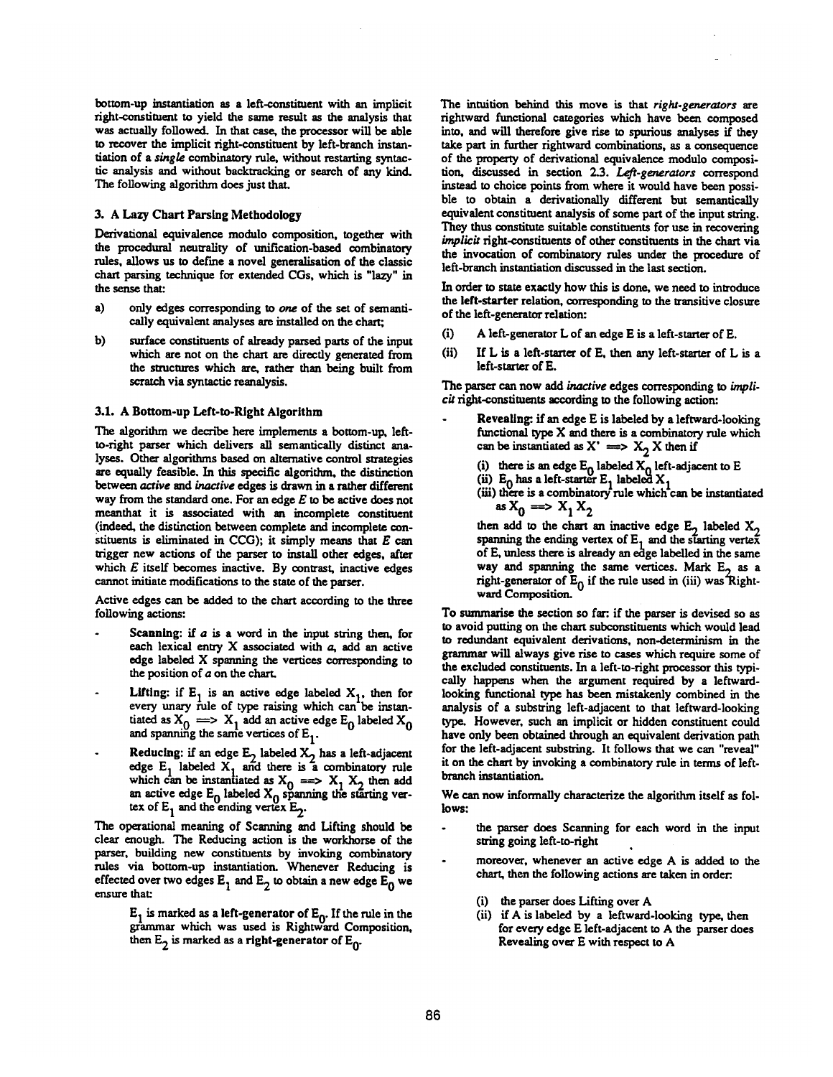bottom-up instantiation as a left-constituent with an implicit fight-constituent to yield the same result as the analysis that was actually followed. In that case, the processor will be able to recover the implicit right-constituent by left-branch instantiation of a *single* combinatory rule, without restarting syntactic analysis and without backtracking or search of any kind. The following algorithm does just that.

#### 3. A Lazy Chart Parsing Methodology

Derivational equivalence modulo composition, together with the procedural neutrality of unification-based combinatory rules, allows us to def'me a novel generalisadon of the classic chart parsing technique for extended CGs, which is "lazy" in the sense that:

- a) only edges corresponding to one of the set of semantically equivalent analyses are installed on the chart;
- b) surface constituents of already parsed parts of the input which are not on the chart are directly generated from the structures which are, rather than being built from scratch via syntactic reanalysis.

#### **3.1. A Bottom-up Left-to-Right** Algorithm

The algorithm we decribe here implements a bottom-up, leftto-right parser which delivers all semantically distinct analyses. Other algorithms based on alternative control strategies are equally feasible. In this specific algorithm, the distinction *between active and inactive edges is drawn in a rather different* way from the standard one. For an edge  $E$  to be active does not meanthat it is associated with an incomplete constituent (indeed, the distinction between complete and incomplete constituents is eliminated in CCG); it simply means that  $E$  can trigger new actions of the parser to install other edges, after which  $E$  itself becomes inactive. By contrast, inactive edges cannot initiate modifications to the state of the parser.

Active edges can be added to the chart according to the three following actions:

- Scanning: if  $a$  is a word in the input string then, for each lexical entry  $X$  associated with  $a$ , add an active edge labeled X spanning the vertices corresponding to the position of a on the chart.
- Lifting: if  $E_1$  is an active edge labeled  $X_1$ , then for every unary rule of type raising which can<sup>-</sup>be instantiated as  $X_0 \implies X_1$  add an active edge  $E_0$  labeled  $X_0$ and spanning the same vertices of  $E_1$ .
- Reducing: if an edge  $E_2$  labeled  $X_2$  has a left-adjacent edge  $E_1$  labeled  $X_1$  and there is a combinatory rule which can be instantiated as  $X_0 \implies X_1 X_2$  then add an active edge  $E_0$  labeled  $X_0$  spanning the starting vertex of  $E_1$  and the ending vertex  $E_2$ .

The operational meaning of Scanning and Lifting should be clear enough. The Reducing action is the workhorse of the parser, building new constituents by invoking combinatory rules via bottom-up instantiadon. Whenever Reducing is effected over two edges  $E_1$  and  $E_2$  to obtain a new edge  $E_0$  we ensure that:

> $E_1$  is marked as a left-generator of  $E_0$ . If the rule in the grammar which was used is Rightward Composition, then  $E_2$  is marked as a right-generator of  $E_0$ .

The intuition behind this move is that *right.generators are*  rightward functional categories which have been composed into, and will therefore give rise to spurious analyses if they take part in further rightward combinations, as a consequence of the property of derivational equivalence modulo composition, discussed in section 2.3. *Left-generators* correspond instead to choice points from where it would have been possible to obtain a derivationally different but semantically equivalent constituent analysis of some part of the input string. They thus constitute suitable constituents for use in recovering implicit right-constituents of other constituents in the chart via the invocation of combinatory rules under the procedure of left-branch instantiation discussed in the last section.

In order to state exactly how this is done, we need to introduce the left-starter relation, corresponding to the transitive closure of the left-generator relation:

- (i) A left-generator L of an edge E is a left-starter of E.
- (ii) If L is a left-sterter of E, then any left-starter of L is a left-stsrter of E.

The parser can now add *inactive* edges corresponding to *impli*cit right-constituents according to the following action:

- Revealing: if an edge E is labeled by a leftward-looking functional type  $X$  and there is a combinatory rule which can be instantiated as  $X' \implies X_2 X$  then if
	- (i) there is an edge  $E_0$  labeled  $X_0$  left-adjacent to E
	- (ii)  $E_0$  has a left-starter  $E_1$  labeled  $X_1$
	- **(iii)** there is a combinatory'rule which'can be instantiated **es**  $X_0 \implies X_1 X_2$
	- then add to the chart an inactive edge  $E_2$  labeled  $X_2$ spanning the ending vertex of  $E_1$  and the starting vertex of E, unless there is already an edge labelled in the same way and spanning the same vertices. Mark  $E<sub>2</sub>$  as a right-generator of  $E_0$  if the rule used in (iii) was Rightward Composition.

To summarise the section so far: if the parser is devised so as to avoid putting on the chart subconstituents which would lead to redundant equivalent derivations, non-determinism in the grammar will always give rise to cases which require some of the excluded constituents. In a left-to-right processor this typically happens when the argument required by a leftwardlooking fimctional type has been mistakenly combined in the analysis of a substring left-adjacent to that leftward-looking type. However, such an implicit or hidden constituent could have only been obtained through an equivalent derivation path for the left-adjacent substring. It follows that we can "reveal" it on the chart by invoking a combinatory rule in terms of leftbranch instantiation.

We can now informally characterize the algorithm itself as follows:

- the parser does Scanning for each word in the input string going left-to-right
- moreover, whenever an active edge A is added to the chart, then the following actions are taken in order.
	- the parser does Lifting over A
	- (ii) if A is labeled by a leftward-looking type, then for every edge E left-adjacent to A the parser does Revealing over E with respect to A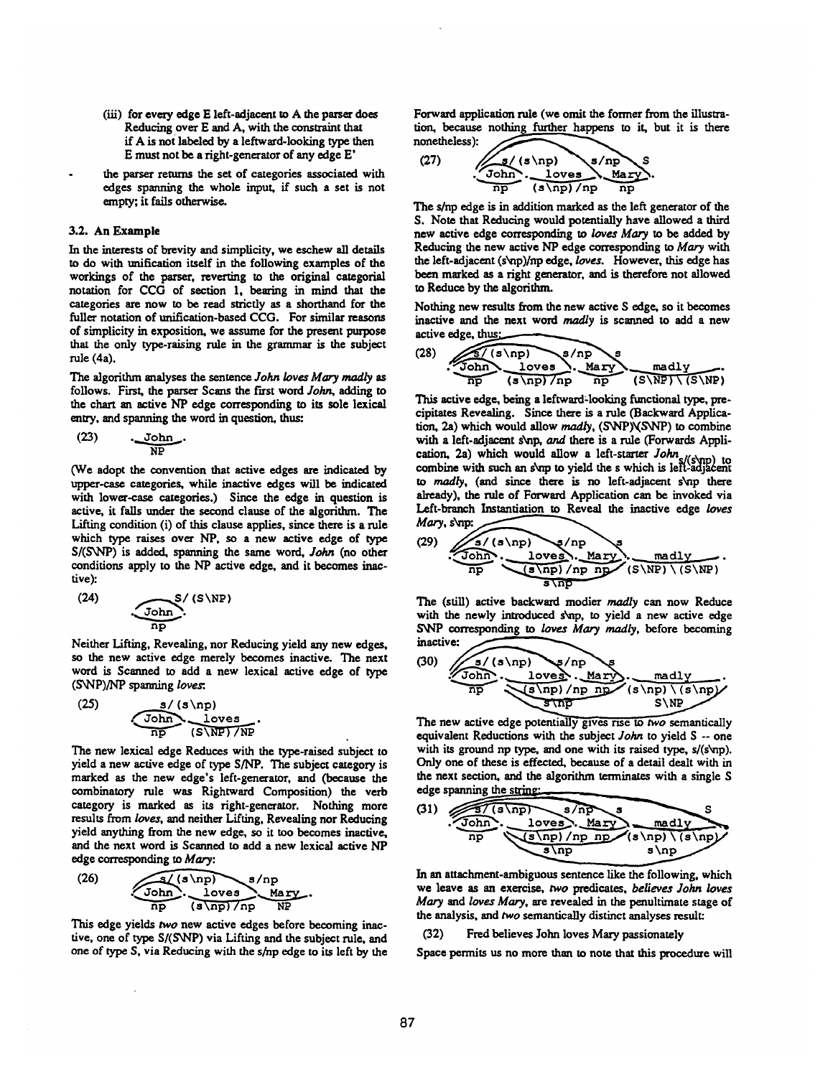- (iii) for every edge E left-adjacent to A the parser does Reducing over E and A, with the constraint that if A is not labeled by a leftward-looking type then **E** must not be a right-generator of any edge E'
- the parser returns the set of categories associated with edges spanning the whole input, if such a set is not empty; it fails otherwise,.

### **3.2. An** Example

In the interests of brevity and simplicity, we eschew all details to do with unification itself in the following examples of the workings of the parser, reverting to the original categorial notation for CCG of section 1, bearing in mind that the categories are now to be read strictly as a shorthand for the fuller notation of unification-based CCG. For similar reasons of simplicity in exposition, we assume for the present purpose that the only type-raising rule in the grammar is the subject rule (4a).

The algorithm analyses the sentence *John loves Mary madly* as follows. First, the parser Scans the first word *John*, adding to the chart an active NP edge corresponding to its sole lexical entry, and spanning the word in question, thus:

$$
(23) \qquad \underbrace{\text{John}}_{\text{NP}}.
$$

(We adopt the convention that active edges are indicated by upper-case categories, while inactive edges will be indicated with lower-case categories.) Since the edge in question is active, it fails under the second clause of the algorithm. The Lifting condition (i) of this clause applies, since there is a rule which type raises over NP, so a new active edge of type *S/(S~rP)* is added, spanning the same word, John (no other conditions apply to the NP active edge, and it becomes inactive):

$$
(24) \qquad \qquad \underbrace{\text{John}}_{\text{np}} \cdot (S \backslash \text{NP})
$$

Neither Lifting. Revealing, nor Reducing yield any new edges, so the new active edge merely becomes inactive. The next word is Scanned to add a new lexical active edge of type (S~NP)/NP spanning *loves:.* 

$$
(25) \t\t\t\t \frac{s/(s\np)}{\text{John}}\t\t\t \frac{\text{loves}}{\text{np}}.
$$

The new lexical edge Reduces with the type-raised subject to yield a new active edge of type S/NP. The subject category is marked as the new edge's left-generator, and (because the combinatory rule was Rightward Composition) the verb category is marked as its right-generator. Nothing more *results from loves,* and neither Lifting, Revealing nor Reducing yield anything from the new edge, so it too becomes inactive, and the next word is Scanned to add a new lexical active NP edge corresponding to Mary:

(26) 
$$
\underbrace{\overbrace{\text{John}}^{q/(s\text{ hp})}\cdot\text{s/np}}_{\text{np}}\cdot\underbrace{\text{Mary}}_{\text{(s\text{ hp})/np}}\xrightarrow{\text{Mary}}
$$

This edge yields two new active edges before becoming inactive, one of type S/(SNP) via Lifting and the subject rule, and one of type S, via Reducing with the s/np edge to its left by the Forward application rule (we omit the former from the illustration, because nothing further happens to it, but it is there nonetheless): **~** 

(27) 
$$
\underbrace{1}_{\text{John}} \cdot \underbrace{1}_{\text{loves}} \underbrace{s/np}_{\text{Map}} s
$$

The s/np edge is in addition marked as the left generator of the S. Note that Reducing would potentially have allowed a third new active edge corresponding to loves Mary to be added by Reducing the new active NP edge corresponding to Mary with the left-adjacent (s~np)/np edge, *loves.* However. this edge has been marked as a right generator, and is therefore not allowed to Reduce by the algorithm.

Nothing new results from the new active S edge, so it becomes inactive and the next word *madly* is scanned to add a new active edge, thus:

(28) 
$$
\underbrace{\overbrace{\text{John}}^{\text{S}/(\text{s} \setminus \text{np})}^{\text{S}/(\text{s} \setminus \text{np})} \cdot \text{Mary}}_{\text{(s} \setminus \text{np}) \setminus \text{np}} \cdot \underbrace{\text{mally}}_{\text{(S} \setminus \text{NP}) \setminus (\text{S} \setminus \text{NP})}
$$

This active edge, being a leftward=looking functional type, precipitates Revealing. Since there is a rule (Backward Application, 2a) which would allow madly, (SNP)\(SNP) to combine with a left-adjacent s\np, and there is a rule (Forwards Application, 2a) which would allow a left-starter  $John_{\alpha\beta\gamma\gamma}$ **combine with such an s\np to yield the s which is left-adj** to madly, (and since there is no left-adjacent s\np there already), the rule of Forward Application can be invoked via Left-branch Instantiation to Reveal the inactive edge *loves*   $Mary,$  s\np:  $\sqrt{}$ 

(29) 
$$
\underbrace{\underbrace{\begin{array}{c} \mathbf{s}/(\mathbf{s}\backslash\mathbf{np}) & \mathbf{s}/\mathbf{np} \\ \hline \mathbf{lop} & \mathbf{lowes} \end{array}}_{\text{np}}}_{\text{s}\backslash\mathbf{np}}\underbrace{\underbrace{\begin{array}{c} \mathbf{s}\backslash\mathbf{np} \\ \hline \mathbf{s}\backslash\mathbf{np} \end{array}}_{\text{s}\backslash\mathbf{np}}}_{\text{s}\backslash\mathbf{np}}.
$$

The (still) active backward modier madly can now Reduce with the newly introduced s'vnp, to yield a new active edge SNP corresponding to loves Mary madly, before becoming inactive:

(30) 
$$
\underbrace{\underbrace{\begin{array}{c} \mathbf{s} \wedge \mathbf{sp} \\ \mathbf{top} \end{array}}_{\text{top}} \cdot \underbrace{\begin{array}{c} \mathbf{s} \wedge \mathbf{sp} \\ \mathbf{loop} \end{array}}_{\text{sup}} \cdot \underbrace{\begin{array}{c} \mathbf{s} \wedge \mathbf{sp} \\ \mathbf{s} \wedge \mathbf{sp} \end{array}}_{\text{sup}} \cdot \underbrace{\begin{array}{c} \mathbf{m} \mathbf{a} \mathbf{d} \mathbf{y} \\ \mathbf{s} \wedge \mathbf{sp} \end{array}}_{\text{sup}}.
$$

The new active edge potentially gives rise to two semantically equivalent Reductions with the subject *John* to yield S -- one with its ground np type, and one with its raised type, s/(s\np). Only one of these is effected, because of a detail dealt with in the next section, and the algorithm terminates with a single S edge spanning the string:



In an attachment-ambiguous sentence like the following, which we leave as an exercise, two predicates, *believes John loves*  Mary and loves Mary, are revealed in the penultimate stage of the analysis, and two semantically distinct analyses result:

## (32) Fred believes John loves Mary passionately

Space permits us no more than to note that this procedure will